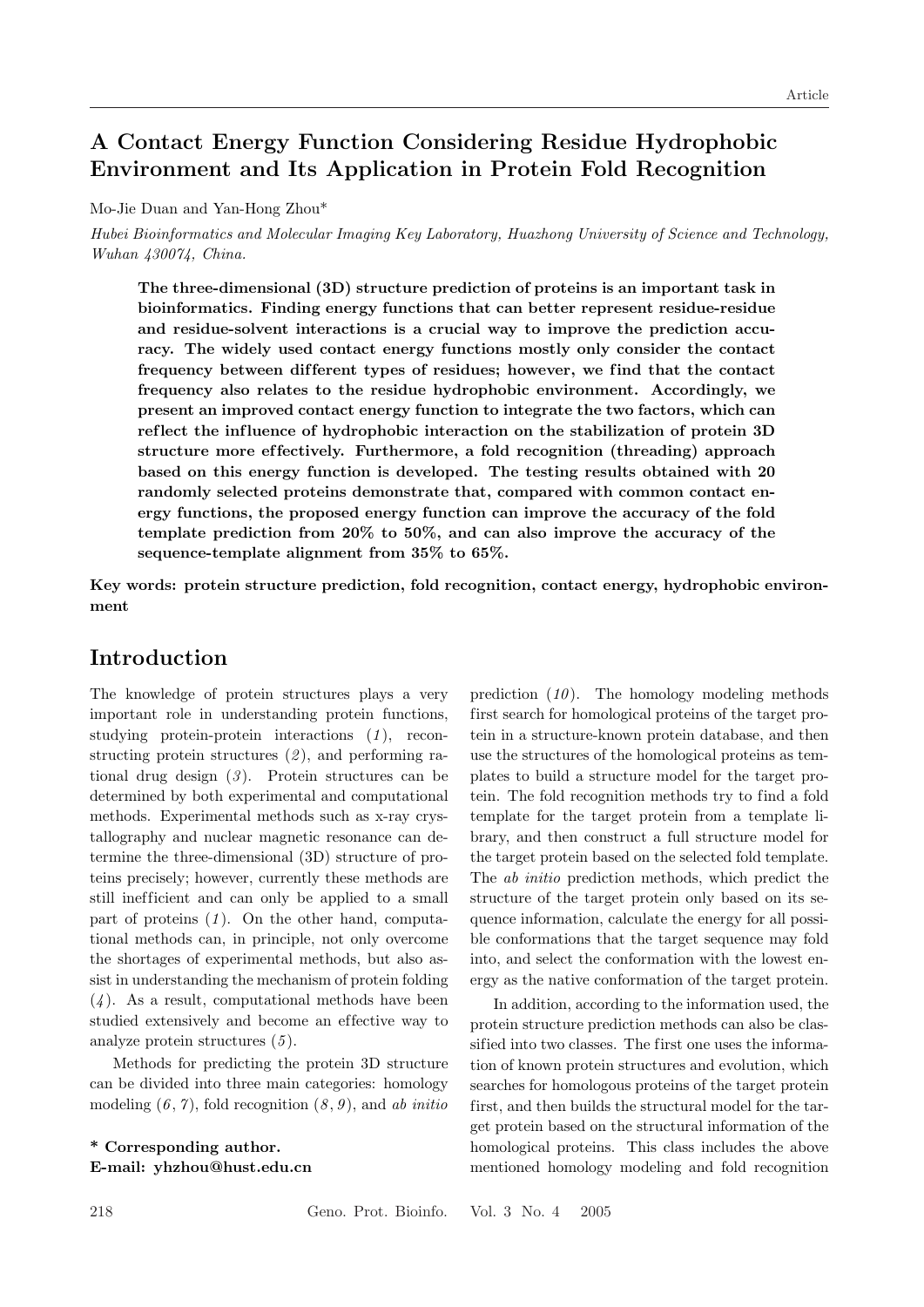# A Contact Energy Function Considering Residue Hydrophobic Environment and Its Application in Protein Fold Recognition

Mo-Jie Duan and Yan-Hong Zhou\*

Hubei Bioinformatics and Molecular Imaging Key Laboratory, Huazhong University of Science and Technology, Wuhan 430074, China.

The three-dimensional (3D) structure prediction of proteins is an important task in bioinformatics. Finding energy functions that can better represent residue-residue and residue-solvent interactions is a crucial way to improve the prediction accuracy. The widely used contact energy functions mostly only consider the contact frequency between different types of residues; however, we find that the contact frequency also relates to the residue hydrophobic environment. Accordingly, we present an improved contact energy function to integrate the two factors, which can reflect the influence of hydrophobic interaction on the stabilization of protein 3D structure more ef fectively. Furthermore, a fold recognition (threading) approach based on this energy function is developed. The testing results obtained with 20 randomly selected proteins demonstrate that, compared with common contact energy functions, the proposed energy function can improve the accuracy of the fold template prediction from 20% to 50%, and can also improve the accuracy of the sequence-template alignment from 35% to 65%.

Key words: protein structure prediction, fold recognition, contact energy, hydrophobic environment

### Introduction

The knowledge of protein structures plays a very important role in understanding protein functions, studying protein-protein interactions  $(1)$ , reconstructing protein structures  $(2)$ , and performing rational drug design  $(3)$ . Protein structures can be determined by both experimental and computational methods. Experimental methods such as x-ray crystallography and nuclear magnetic resonance can determine the three-dimensional (3D) structure of proteins precisely; however, currently these methods are still inefficient and can only be applied to a small part of proteins  $(1)$ . On the other hand, computational methods can, in principle, not only overcome the shortages of experimental methods, but also assist in understanding the mechanism of protein folding  $(4)$ . As a result, computational methods have been studied extensively and become an effective way to analyze protein structures  $(5)$ .

Methods for predicting the protein 3D structure can be divided into three main categories: homology modeling  $(6, 7)$ , fold recognition  $(8, 9)$ , and ab initio

\* Corresponding author. E-mail: yhzhou@hust.edu.cn prediction  $(10)$ . The homology modeling methods first search for homological proteins of the target protein in a structure-known protein database, and then use the structures of the homological proteins as templates to build a structure model for the target protein. The fold recognition methods try to find a fold template for the target protein from a template library, and then construct a full structure model for the target protein based on the selected fold template. The ab initio prediction methods, which predict the structure of the target protein only based on its sequence information, calculate the energy for all possible conformations that the target sequence may fold into, and select the conformation with the lowest energy as the native conformation of the target protein.

In addition, according to the information used, the protein structure prediction methods can also be classified into two classes. The first one uses the information of known protein structures and evolution, which searches for homologous proteins of the target protein first, and then builds the structural model for the target protein based on the structural information of the homological proteins. This class includes the above mentioned homology modeling and fold recognition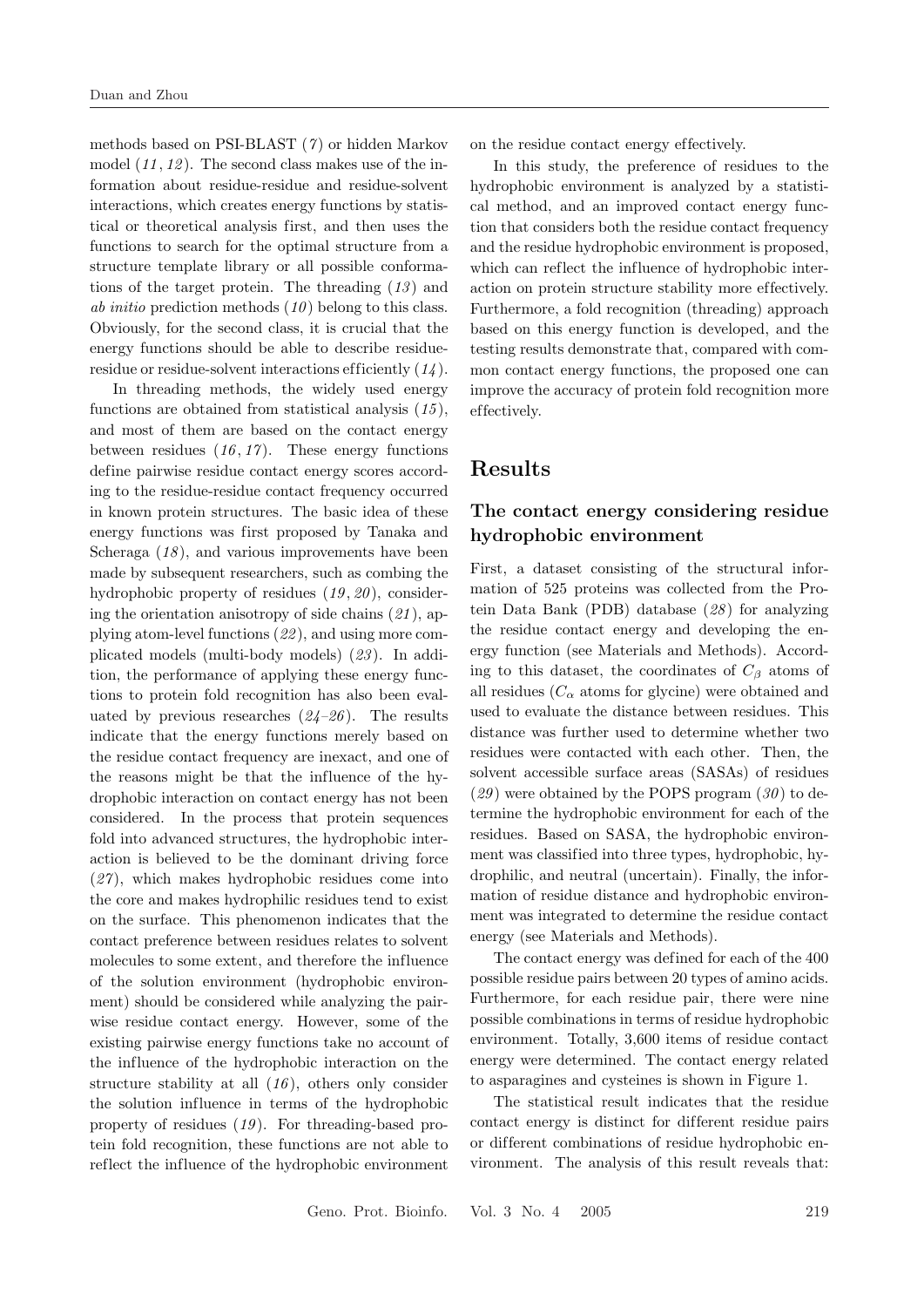methods based on PSI-BLAST  $(7)$  or hidden Markov model  $(11, 12)$ . The second class makes use of the information about residue-residue and residue-solvent interactions, which creates energy functions by statistical or theoretical analysis first, and then uses the functions to search for the optimal structure from a structure template library or all possible conformations of the target protein. The threading  $(13)$  and *ab initio* prediction methods  $(10)$  belong to this class. Obviously, for the second class, it is crucial that the energy functions should be able to describe residueresidue or residue-solvent interactions efficiently  $(14)$ .

In threading methods, the widely used energy functions are obtained from statistical analysis  $(15)$ , and most of them are based on the contact energy between residues  $(16, 17)$ . These energy functions define pairwise residue contact energy scores according to the residue-residue contact frequency occurred in known protein structures. The basic idea of these energy functions was first proposed by Tanaka and Scheraga  $(18)$ , and various improvements have been made by subsequent researchers, such as combing the hydrophobic property of residues  $(19, 20)$ , considering the orientation anisotropy of side chains  $(21)$ , applying atom-level functions (22 ), and using more complicated models (multi-body models) (23 ). In addition, the performance of applying these energy functions to protein fold recognition has also been evaluated by previous researches  $(24-26)$ . The results indicate that the energy functions merely based on the residue contact frequency are inexact, and one of the reasons might be that the influence of the hydrophobic interaction on contact energy has not been considered. In the process that protein sequences fold into advanced structures, the hydrophobic interaction is believed to be the dominant driving force  $(27)$ , which makes hydrophobic residues come into the core and makes hydrophilic residues tend to exist on the surface. This phenomenon indicates that the contact preference between residues relates to solvent molecules to some extent, and therefore the influence of the solution environment (hydrophobic environment) should be considered while analyzing the pairwise residue contact energy. However, some of the existing pairwise energy functions take no account of the influence of the hydrophobic interaction on the structure stability at all  $(16)$ , others only consider the solution influence in terms of the hydrophobic property of residues  $(19)$ . For threading-based protein fold recognition, these functions are not able to reflect the influence of the hydrophobic environment

on the residue contact energy ef fectively.

In this study, the preference of residues to the hydrophobic environment is analyzed by a statistical method, and an improved contact energy function that considers both the residue contact frequency and the residue hydrophobic environment is proposed, which can reflect the influence of hydrophobic interaction on protein structure stability more effectively. Furthermore, a fold recognition (threading) approach based on this energy function is developed, and the testing results demonstrate that, compared with common contact energy functions, the proposed one can improve the accuracy of protein fold recognition more ef fectively.

### Results

### The contact energy considering residue hydrophobic environment

First, a dataset consisting of the structural information of 525 proteins was collected from the Protein Data Bank (PDB) database (28 ) for analyzing the residue contact energy and developing the energy function (see Materials and Methods). According to this dataset, the coordinates of  $C_\beta$  atoms of all residues  $(C_{\alpha}$  atoms for glycine) were obtained and used to evaluate the distance between residues. This distance was further used to determine whether two residues were contacted with each other. Then, the solvent accessible surface areas (SASAs) of residues  $(29)$  were obtained by the POPS program  $(30)$  to determine the hydrophobic environment for each of the residues. Based on SASA, the hydrophobic environment was classified into three types, hydrophobic, hydrophilic, and neutral (uncertain). Finally, the information of residue distance and hydrophobic environment was integrated to determine the residue contact energy (see Materials and Methods).

The contact energy was defined for each of the 400 possible residue pairs between 20 types of amino acids. Furthermore, for each residue pair, there were nine possible combinations in terms of residue hydrophobic environment. Totally, 3,600 items of residue contact energy were determined. The contact energy related to asparagines and cysteines is shown in Figure 1.

The statistical result indicates that the residue contact energy is distinct for dif ferent residue pairs or dif ferent combinations of residue hydrophobic environment. The analysis of this result reveals that: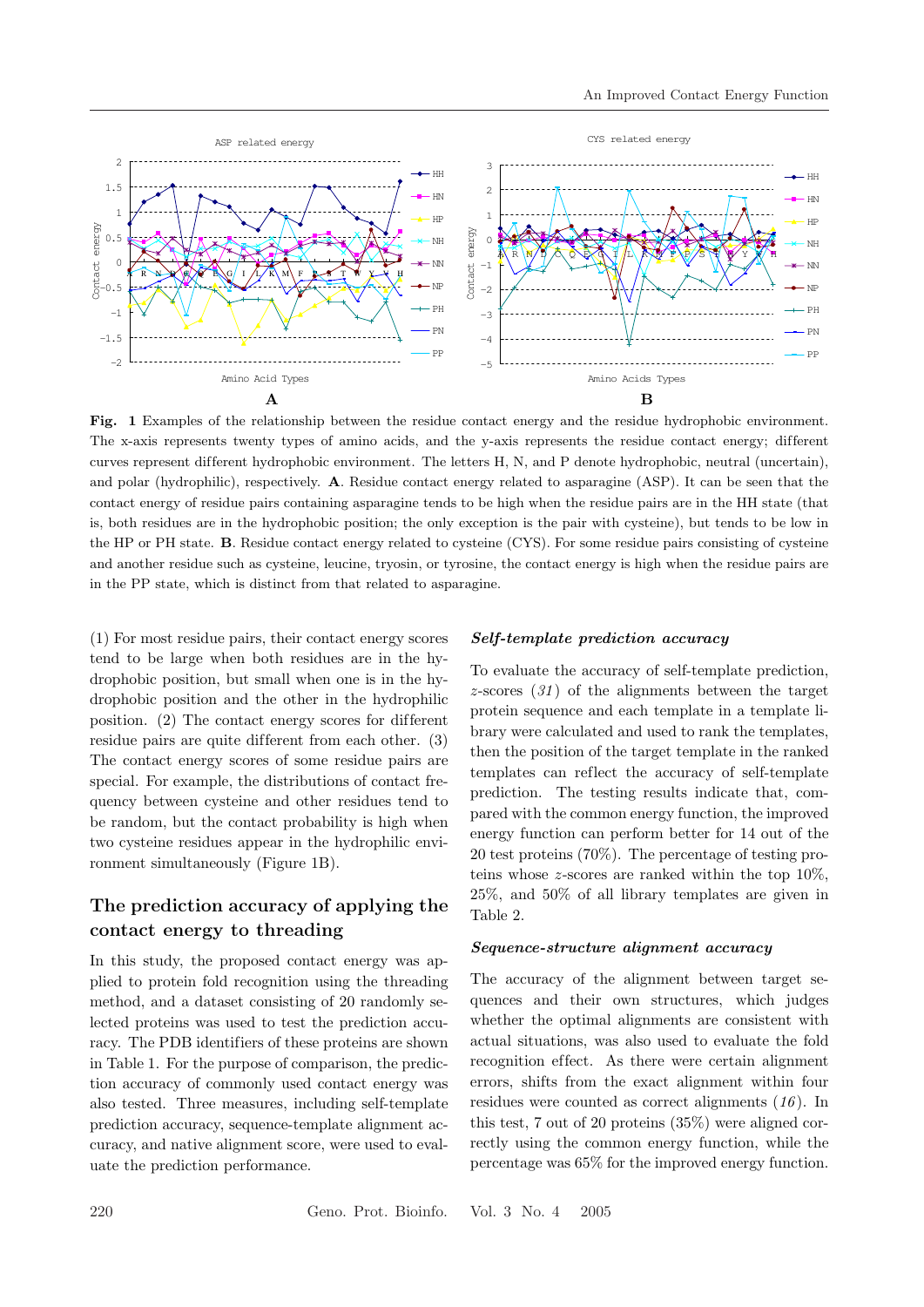

Fig. 1 Examples of the relationship between the residue contact energy and the residue hydrophobic environment. The x-axis represents twenty types of amino acids, and the y-axis represents the residue contact energy; different curves represent dif ferent hydrophobic environment. The letters H, N, and P denote hydrophobic, neutral (uncertain), and polar (hydrophilic), respectively. A. Residue contact energy related to asparagine (ASP). It can be seen that the contact energy of residue pairs containing asparagine tends to be high when the residue pairs are in the HH state (that is, both residues are in the hydrophobic position; the only exception is the pair with cysteine), but tends to be low in the HP or PH state. B. Residue contact energy related to cysteine (CYS). For some residue pairs consisting of cysteine and another residue such as cysteine, leucine, tryosin, or tyrosine, the contact energy is high when the residue pairs are in the PP state, which is distinct from that related to asparagine.

(1) For most residue pairs, their contact energy scores tend to be large when both residues are in the hydrophobic position, but small when one is in the hydrophobic position and the other in the hydrophilic position.  $(2)$  The contact energy scores for different residue pairs are quite different from each other. (3) The contact energy scores of some residue pairs are special. For example, the distributions of contact frequency between cysteine and other residues tend to be random, but the contact probability is high when two cysteine residues appear in the hydrophilic environment simultaneously (Figure 1B).

## The prediction accuracy of applying the contact energy to threading

In this study, the proposed contact energy was applied to protein fold recognition using the threading method, and a dataset consisting of 20 randomly selected proteins was used to test the prediction accuracy. The PDB identifiers of these proteins are shown in Table 1. For the purpose of comparison, the prediction accuracy of commonly used contact energy was also tested. Three measures, including self-template prediction accuracy, sequence-template alignment accuracy, and native alignment score, were used to evaluate the prediction performance.

#### Self-template prediction accuracy

To evaluate the accuracy of self-template prediction,  $z$ -scores  $(31)$  of the alignments between the target protein sequence and each template in a template library were calculated and used to rank the templates, then the position of the target template in the ranked templates can reflect the accuracy of self-template prediction. The testing results indicate that, compared with the common energy function, the improved energy function can perform better for 14 out of the 20 test proteins (70%). The percentage of testing proteins whose z-scores are ranked within the top 10%, 25%, and 50% of all library templates are given in Table 2.

#### Sequence-structure alignment accuracy

The accuracy of the alignment between target sequences and their own structures, which judges whether the optimal alignments are consistent with actual situations, was also used to evaluate the fold recognition effect. As there were certain alignment errors, shifts from the exact alignment within four residues were counted as correct alignments (16 ). In this test, 7 out of 20 proteins (35%) were aligned correctly using the common energy function, while the percentage was 65% for the improved energy function.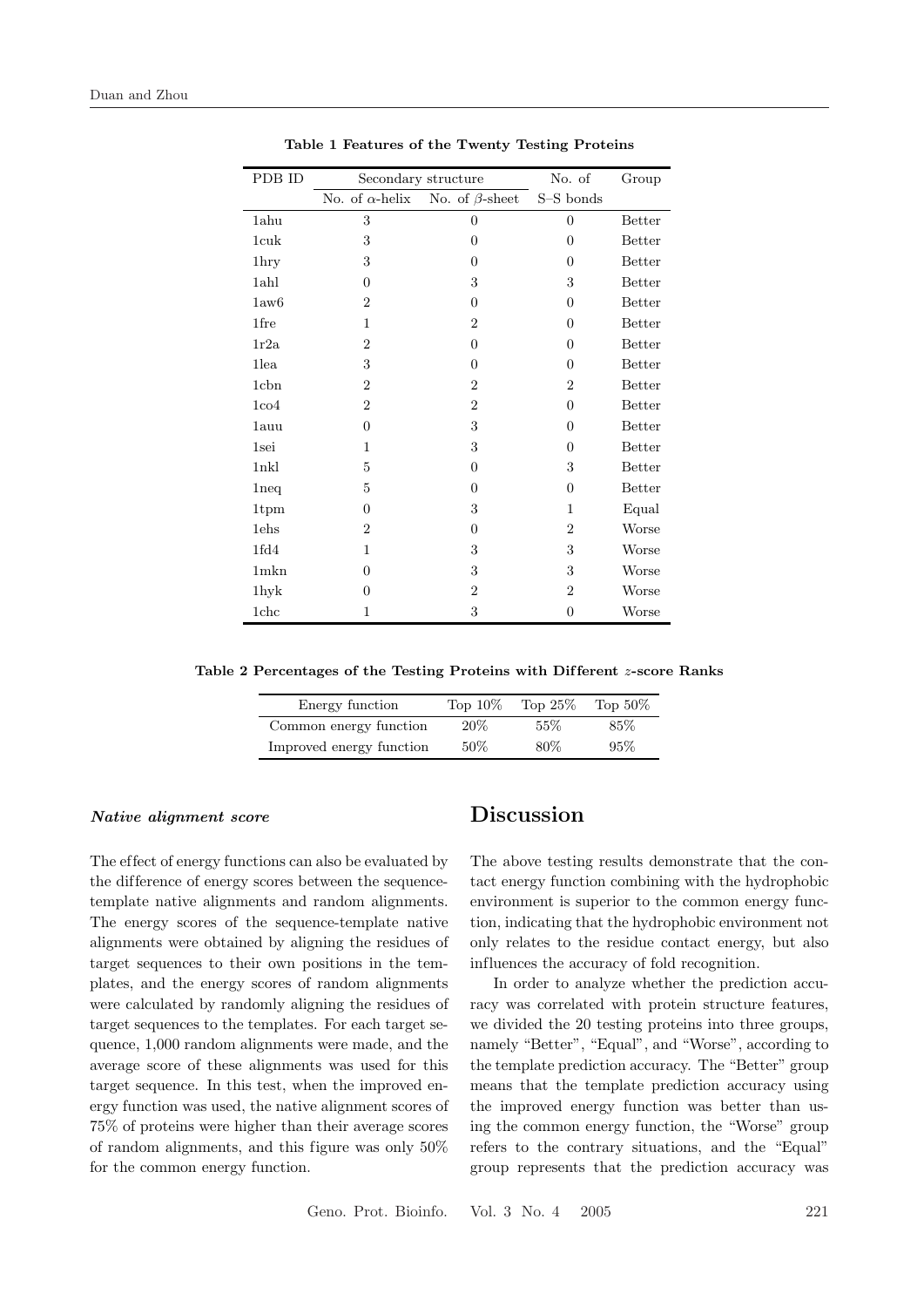| PDB ID           | Secondary structure    |                       | No. of         | Group         |
|------------------|------------------------|-----------------------|----------------|---------------|
|                  | No. of $\alpha$ -helix | No. of $\beta$ -sheet | S-S bonds      |               |
| 1ahu             | 3                      | $\boldsymbol{0}$      | $\overline{0}$ | <b>Better</b> |
| 1cuk             | 3                      | $\theta$              | $\theta$       | Better        |
| 1hry             | 3                      | $\Omega$              | $\Omega$       | Better        |
| 1ahl             | $\Omega$               | 3                     | 3              | <b>Better</b> |
| 1aw6             | $\overline{2}$         | $\overline{0}$        | $\Omega$       | Better        |
| 1fre             | $\mathbf{1}$           | $\overline{2}$        | $\overline{0}$ | Better        |
| 1r2a             | $\overline{2}$         | $\overline{0}$        | $\overline{0}$ | Better        |
| 1lea             | 3                      | $\Omega$              | $\theta$       | Better        |
| 1 <sub>cbn</sub> | $\overline{2}$         | $\overline{2}$        | $\overline{2}$ | Better        |
| 1 <sub>co4</sub> | $\overline{2}$         | $\overline{2}$        | $\theta$       | Better        |
| 1auu             | $\Omega$               | 3                     | $\theta$       | Better        |
| 1sei             | 1                      | 3                     | $\Omega$       | <b>Better</b> |
| 1 <sub>nkl</sub> | 5                      | $\overline{0}$        | 3              | <b>Better</b> |
| 1neq             | $\overline{5}$         | $\Omega$              | $\theta$       | Better        |
| 1tpm             | $\Omega$               | 3                     | 1              | Equal         |
| 1ehs             | $\overline{2}$         | $\overline{0}$        | $\overline{2}$ | Worse         |
| 1fd4             | 1                      | 3                     | 3              | Worse         |
| $1$ m $kn$       | $\Omega$               | 3                     | 3              | Worse         |
| 1hyk             | $\theta$               | $\overline{2}$        | $\overline{2}$ | Worse         |
| 1chc             | 1                      | 3                     | $\theta$       | Worse         |

Table 1 Features of the Twenty Testing Proteins

Table 2 Percentages of the Testing Proteins with Different z-score Ranks

| Energy function          | Top $10\%$ | Top $25\%$ | Top $50\%$ |
|--------------------------|------------|------------|------------|
| Common energy function   | $20\%$     | 55\%       | 85\%       |
| Improved energy function | 50%        | 80\%       | 95%        |

#### Native alignment score

The effect of energy functions can also be evaluated by the difference of energy scores between the sequencetemplate native alignments and random alignments. The energy scores of the sequence-template native alignments were obtained by aligning the residues of target sequences to their own positions in the templates, and the energy scores of random alignments were calculated by randomly aligning the residues of target sequences to the templates. For each target sequence, 1,000 random alignments were made, and the average score of these alignments was used for this target sequence. In this test, when the improved energy function was used, the native alignment scores of 75% of proteins were higher than their average scores of random alignments, and this figure was only 50% for the common energy function.

# Discussion

The above testing results demonstrate that the contact energy function combining with the hydrophobic environment is superior to the common energy function, indicating that the hydrophobic environment not only relates to the residue contact energy, but also influences the accuracy of fold recognition.

In order to analyze whether the prediction accuracy was correlated with protein structure features, we divided the 20 testing proteins into three groups, namely "Better", "Equal", and "Worse", according to the template prediction accuracy. The "Better" group means that the template prediction accuracy using the improved energy function was better than using the common energy function, the "Worse" group refers to the contrary situations, and the "Equal" group represents that the prediction accuracy was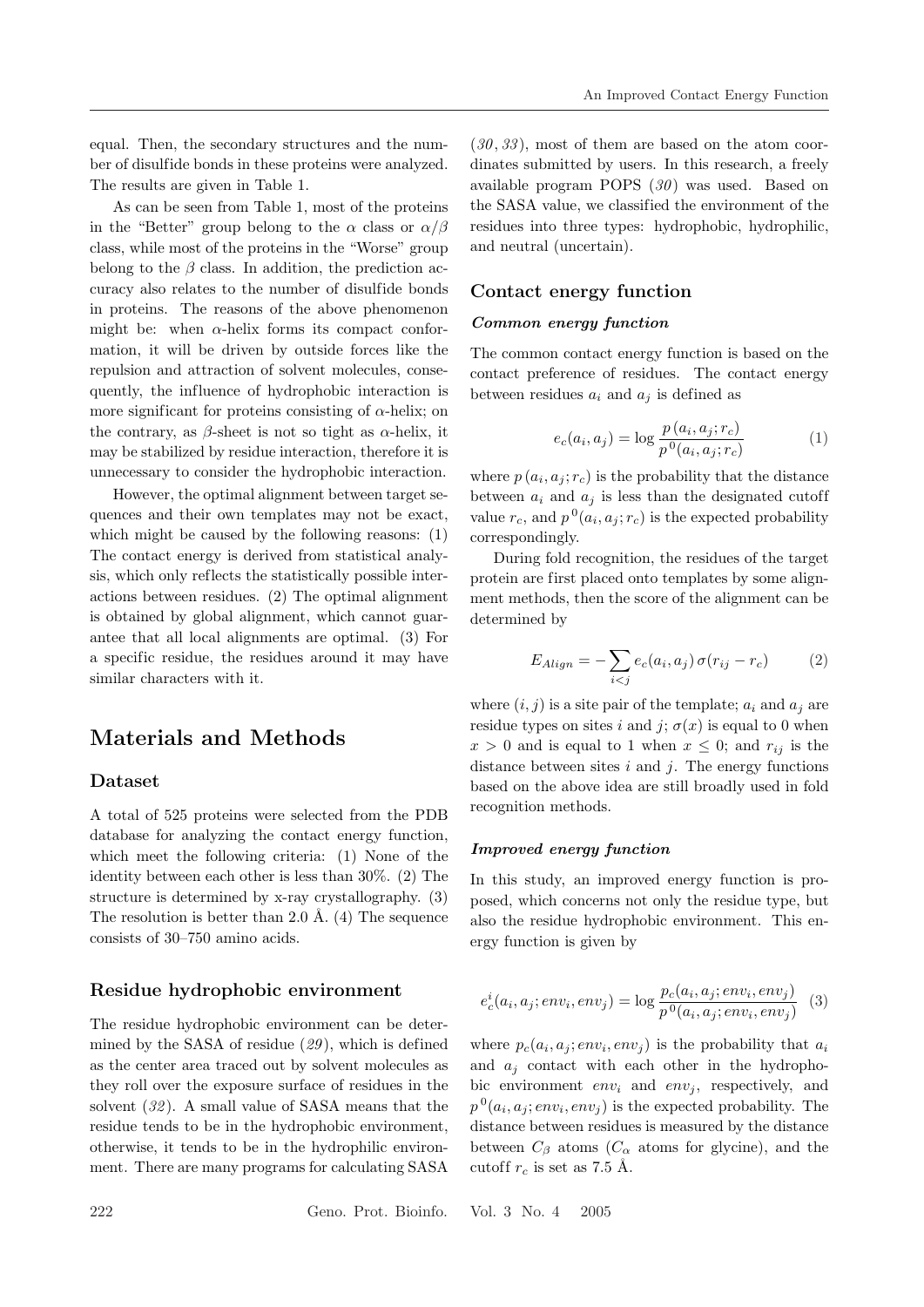equal. Then, the secondary structures and the number of disulfide bonds in these proteins were analyzed. The results are given in Table 1.

As can be seen from Table 1, most of the proteins in the "Better" group belong to the  $\alpha$  class or  $\alpha/\beta$ class, while most of the proteins in the "Worse" group belong to the  $\beta$  class. In addition, the prediction accuracy also relates to the number of disulfide bonds in proteins. The reasons of the above phenomenon might be: when  $\alpha$ -helix forms its compact conformation, it will be driven by outside forces like the repulsion and attraction of solvent molecules, consequently, the influence of hydrophobic interaction is more significant for proteins consisting of  $\alpha$ -helix; on the contrary, as  $\beta$ -sheet is not so tight as  $\alpha$ -helix, it may be stabilized by residue interaction, therefore it is unnecessary to consider the hydrophobic interaction.

However, the optimal alignment between target sequences and their own templates may not be exact, which might be caused by the following reasons: (1) The contact energy is derived from statistical analysis, which only reflects the statistically possible interactions between residues. (2) The optimal alignment is obtained by global alignment, which cannot guarantee that all local alignments are optimal. (3) For a specific residue, the residues around it may have similar characters with it.

# Materials and Methods

#### Dataset

A total of 525 proteins were selected from the PDB database for analyzing the contact energy function, which meet the following criteria: (1) None of the identity between each other is less than 30%. (2) The structure is determined by x-ray crystallography. (3) The resolution is better than 2.0 Å.  $(4)$  The sequence consists of 30–750 amino acids.

### Residue hydrophobic environment

The residue hydrophobic environment can be determined by the SASA of residue  $(29)$ , which is defined as the center area traced out by solvent molecules as they roll over the exposure surface of residues in the solvent (32). A small value of SASA means that the residue tends to be in the hydrophobic environment, otherwise, it tends to be in the hydrophilic environment. There are many programs for calculating SASA

 $(30, 33)$ , most of them are based on the atom coordinates submitted by users. In this research, a freely available program POPS  $(30)$  was used. Based on the SASA value, we classified the environment of the residues into three types: hydrophobic, hydrophilic, and neutral (uncertain).

### Contact energy function

### Common energy function

The common contact energy function is based on the contact preference of residues. The contact energy between residues  $a_i$  and  $a_j$  is defined as

$$
e_c(a_i, a_j) = \log \frac{p(a_i, a_j; r_c)}{p^0(a_i, a_j; r_c)}
$$
(1)

where  $p(a_i, a_j; r_c)$  is the probability that the distance between  $a_i$  and  $a_j$  is less than the designated cutoff value  $r_c$ , and  $p^{0}(a_i, a_j; r_c)$  is the expected probability correspondingly.

During fold recognition, the residues of the target protein are first placed onto templates by some alignment methods, then the score of the alignment can be determined by

$$
E_{Align} = -\sum_{i < j} e_c(a_i, a_j) \sigma(r_{ij} - r_c) \tag{2}
$$

where  $(i, j)$  is a site pair of the template;  $a_i$  and  $a_j$  are residue types on sites i and j;  $\sigma(x)$  is equal to 0 when  $x > 0$  and is equal to 1 when  $x \leq 0$ ; and  $r_{ij}$  is the distance between sites  $i$  and  $j$ . The energy functions based on the above idea are still broadly used in fold recognition methods.

### Improved energy function

In this study, an improved energy function is proposed, which concerns not only the residue type, but also the residue hydrophobic environment. This energy function is given by

$$
e_c^i(a_i, a_j; env_i, env_j) = \log \frac{p_c(a_i, a_j; env_i, env_j)}{p^0(a_i, a_j; env_i, env_j)} \quad (3)
$$

where  $p_c(a_i, a_j; env_i, env_j)$  is the probability that  $a_i$ and  $a_i$  contact with each other in the hydrophobic environment  $env_i$  and  $env_j$ , respectively, and  $p^{0}(a_i, a_j; env_i, env_j)$  is the expected probability. The distance between residues is measured by the distance between  $C_\beta$  atoms  $(C_\alpha$  atoms for glycine), and the cutoff  $r_c$  is set as 7.5 Å.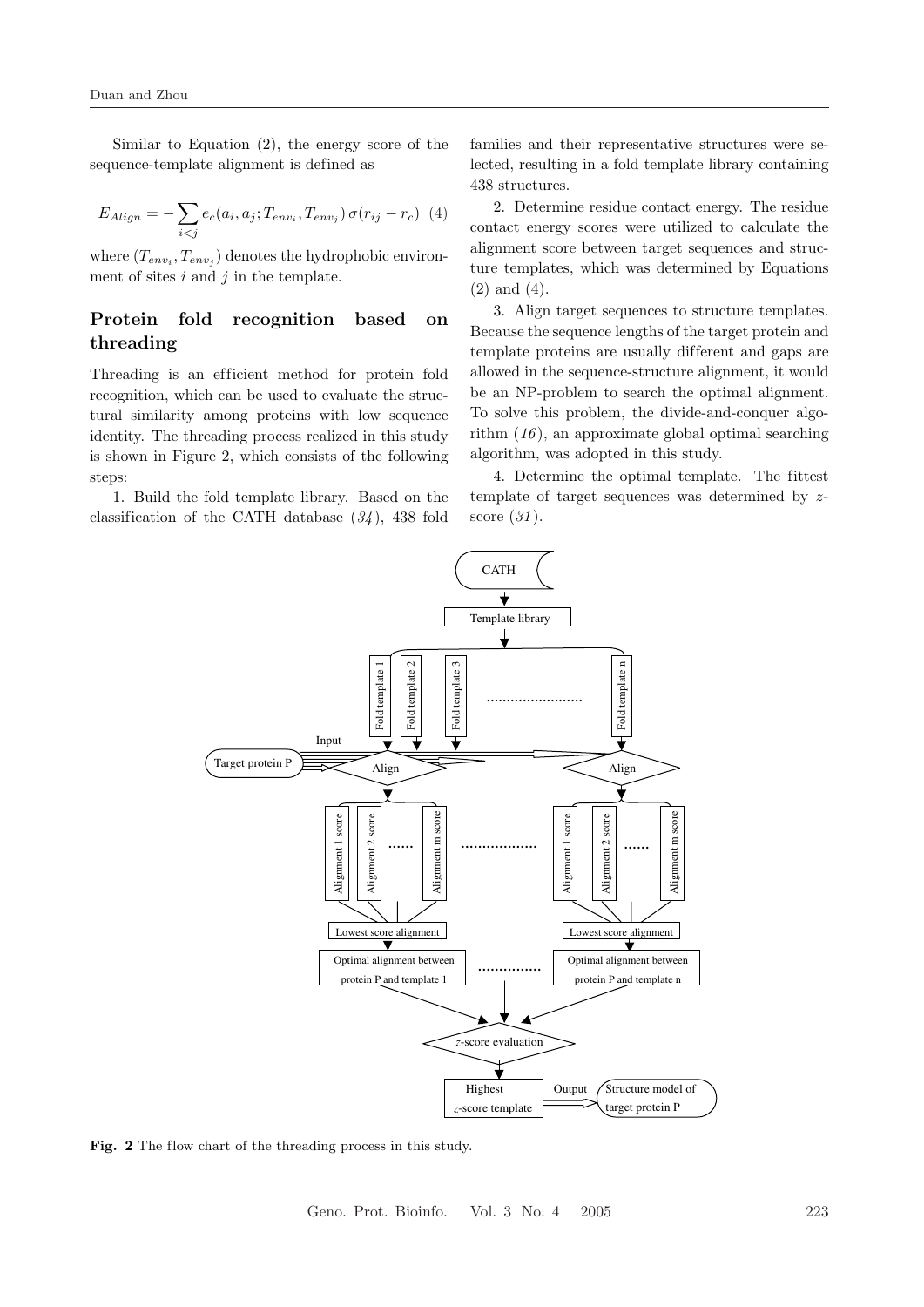Similar to Equation (2), the energy score of the sequence-template alignment is defined as

$$
E_{Align} = -\sum_{i < j} e_c(a_i, a_j; T_{env_i}, T_{env_j}) \sigma(r_{ij} - r_c) \tag{4}
$$

where  $(T_{env_i}, T_{env_j})$  denotes the hydrophobic environment of sites  $i$  and  $j$  in the template.

### Protein fold recognition based on threading

Threading is an efficient method for protein fold recognition, which can be used to evaluate the structural similarity among proteins with low sequence identity. The threading process realized in this study is shown in Figure 2, which consists of the following steps:

1. Build the fold template library. Based on the classification of the CATH database  $(34)$ , 438 fold

families and their representative structures were selected, resulting in a fold template library containing 438 structures.

2. Determine residue contact energy. The residue contact energy scores were utilized to calculate the alignment score between target sequences and structure templates, which was determined by Equations (2) and (4).

3. Align target sequences to structure templates. Because the sequence lengths of the target protein and template proteins are usually dif ferent and gaps are allowed in the sequence-structure alignment, it would be an NP-problem to search the optimal alignment. To solve this problem, the divide-and-conquer algorithm  $(16)$ , an approximate global optimal searching algorithm, was adopted in this study.

4. Determine the optimal template. The fittest template of target sequences was determined by zscore  $(31)$ .



Fig. 2 The flow chart of the threading process in this study.